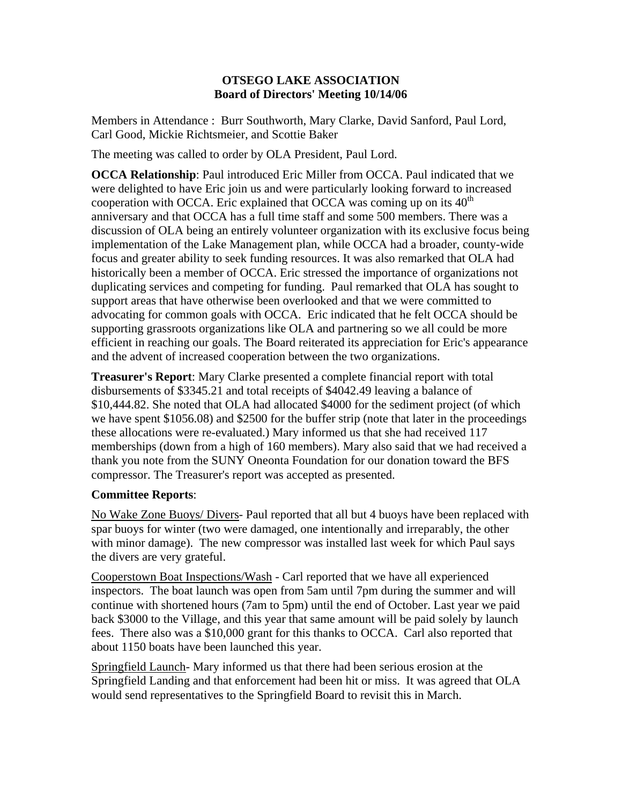## **OTSEGO LAKE ASSOCIATION Board of Directors' Meeting 10/14/06**

Members in Attendance : Burr Southworth, Mary Clarke, David Sanford, Paul Lord, Carl Good, Mickie Richtsmeier, and Scottie Baker

The meeting was called to order by OLA President, Paul Lord.

**OCCA Relationship**: Paul introduced Eric Miller from OCCA. Paul indicated that we were delighted to have Eric join us and were particularly looking forward to increased cooperation with OCCA. Eric explained that OCCA was coming up on its  $40<sup>th</sup>$ anniversary and that OCCA has a full time staff and some 500 members. There was a discussion of OLA being an entirely volunteer organization with its exclusive focus being implementation of the Lake Management plan, while OCCA had a broader, county-wide focus and greater ability to seek funding resources. It was also remarked that OLA had historically been a member of OCCA. Eric stressed the importance of organizations not duplicating services and competing for funding. Paul remarked that OLA has sought to support areas that have otherwise been overlooked and that we were committed to advocating for common goals with OCCA. Eric indicated that he felt OCCA should be supporting grassroots organizations like OLA and partnering so we all could be more efficient in reaching our goals. The Board reiterated its appreciation for Eric's appearance and the advent of increased cooperation between the two organizations.

**Treasurer's Report**: Mary Clarke presented a complete financial report with total disbursements of \$3345.21 and total receipts of \$4042.49 leaving a balance of \$10,444.82. She noted that OLA had allocated \$4000 for the sediment project (of which we have spent \$1056.08) and \$2500 for the buffer strip (note that later in the proceedings these allocations were re-evaluated.) Mary informed us that she had received 117 memberships (down from a high of 160 members). Mary also said that we had received a thank you note from the SUNY Oneonta Foundation for our donation toward the BFS compressor. The Treasurer's report was accepted as presented.

## **Committee Reports**:

No Wake Zone Buoys/ Divers- Paul reported that all but 4 buoys have been replaced with spar buoys for winter (two were damaged, one intentionally and irreparably, the other with minor damage). The new compressor was installed last week for which Paul says the divers are very grateful.

Cooperstown Boat Inspections/Wash - Carl reported that we have all experienced inspectors. The boat launch was open from 5am until 7pm during the summer and will continue with shortened hours (7am to 5pm) until the end of October. Last year we paid back \$3000 to the Village, and this year that same amount will be paid solely by launch fees. There also was a \$10,000 grant for this thanks to OCCA. Carl also reported that about 1150 boats have been launched this year.

Springfield Launch- Mary informed us that there had been serious erosion at the Springfield Landing and that enforcement had been hit or miss. It was agreed that OLA would send representatives to the Springfield Board to revisit this in March.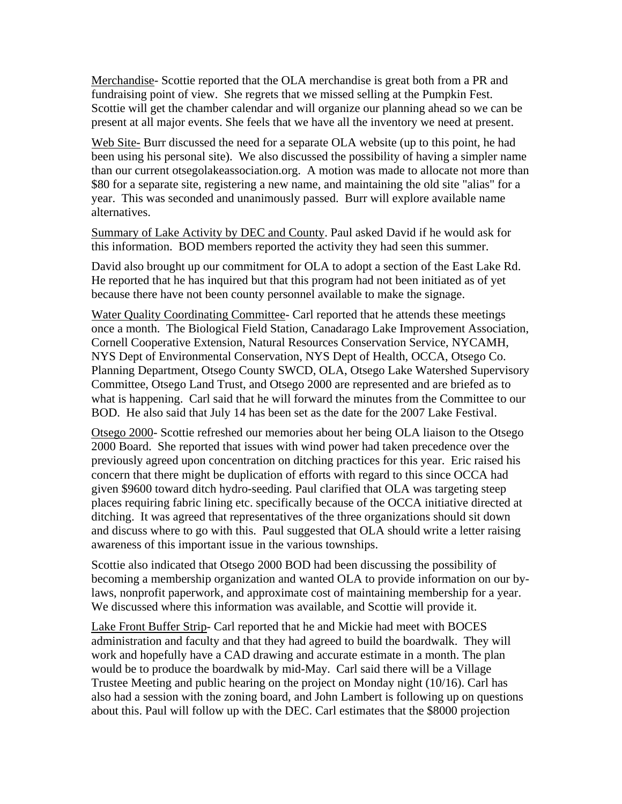Merchandise- Scottie reported that the OLA merchandise is great both from a PR and fundraising point of view. She regrets that we missed selling at the Pumpkin Fest. Scottie will get the chamber calendar and will organize our planning ahead so we can be present at all major events. She feels that we have all the inventory we need at present.

Web Site- Burr discussed the need for a separate OLA website (up to this point, he had been using his personal site). We also discussed the possibility of having a simpler name than our current otsegolakeassociation.org. A motion was made to allocate not more than \$80 for a separate site, registering a new name, and maintaining the old site "alias" for a year. This was seconded and unanimously passed. Burr will explore available name alternatives.

Summary of Lake Activity by DEC and County. Paul asked David if he would ask for this information. BOD members reported the activity they had seen this summer.

David also brought up our commitment for OLA to adopt a section of the East Lake Rd. He reported that he has inquired but that this program had not been initiated as of yet because there have not been county personnel available to make the signage.

Water Quality Coordinating Committee- Carl reported that he attends these meetings once a month. The Biological Field Station, Canadarago Lake Improvement Association, Cornell Cooperative Extension, Natural Resources Conservation Service, NYCAMH, NYS Dept of Environmental Conservation, NYS Dept of Health, OCCA, Otsego Co. Planning Department, Otsego County SWCD, OLA, Otsego Lake Watershed Supervisory Committee, Otsego Land Trust, and Otsego 2000 are represented and are briefed as to what is happening. Carl said that he will forward the minutes from the Committee to our BOD. He also said that July 14 has been set as the date for the 2007 Lake Festival.

Otsego 2000- Scottie refreshed our memories about her being OLA liaison to the Otsego 2000 Board. She reported that issues with wind power had taken precedence over the previously agreed upon concentration on ditching practices for this year. Eric raised his concern that there might be duplication of efforts with regard to this since OCCA had given \$9600 toward ditch hydro-seeding. Paul clarified that OLA was targeting steep places requiring fabric lining etc. specifically because of the OCCA initiative directed at ditching. It was agreed that representatives of the three organizations should sit down and discuss where to go with this. Paul suggested that OLA should write a letter raising awareness of this important issue in the various townships.

Scottie also indicated that Otsego 2000 BOD had been discussing the possibility of becoming a membership organization and wanted OLA to provide information on our bylaws, nonprofit paperwork, and approximate cost of maintaining membership for a year. We discussed where this information was available, and Scottie will provide it.

Lake Front Buffer Strip- Carl reported that he and Mickie had meet with BOCES administration and faculty and that they had agreed to build the boardwalk. They will work and hopefully have a CAD drawing and accurate estimate in a month. The plan would be to produce the boardwalk by mid-May. Carl said there will be a Village Trustee Meeting and public hearing on the project on Monday night (10/16). Carl has also had a session with the zoning board, and John Lambert is following up on questions about this. Paul will follow up with the DEC. Carl estimates that the \$8000 projection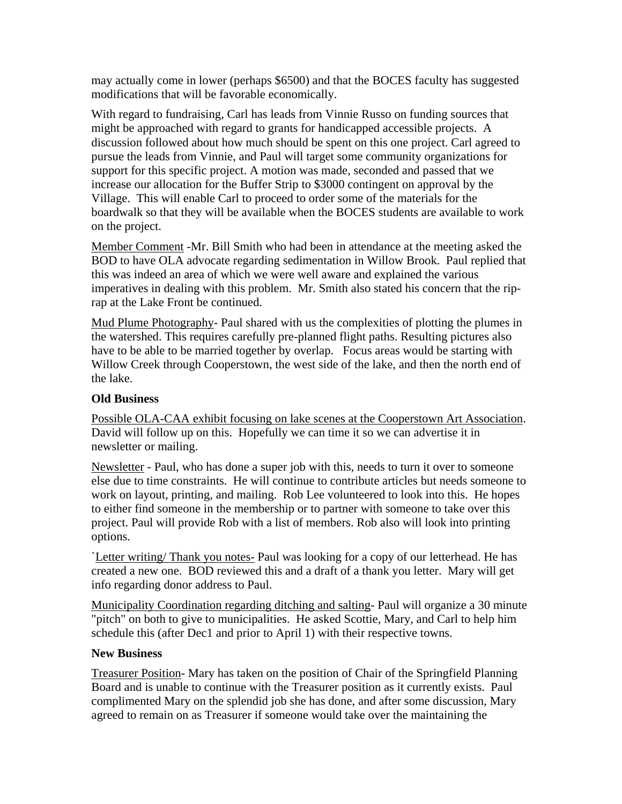may actually come in lower (perhaps \$6500) and that the BOCES faculty has suggested modifications that will be favorable economically.

With regard to fundraising, Carl has leads from Vinnie Russo on funding sources that might be approached with regard to grants for handicapped accessible projects. A discussion followed about how much should be spent on this one project. Carl agreed to pursue the leads from Vinnie, and Paul will target some community organizations for support for this specific project. A motion was made, seconded and passed that we increase our allocation for the Buffer Strip to \$3000 contingent on approval by the Village. This will enable Carl to proceed to order some of the materials for the boardwalk so that they will be available when the BOCES students are available to work on the project.

Member Comment -Mr. Bill Smith who had been in attendance at the meeting asked the BOD to have OLA advocate regarding sedimentation in Willow Brook. Paul replied that this was indeed an area of which we were well aware and explained the various imperatives in dealing with this problem. Mr. Smith also stated his concern that the riprap at the Lake Front be continued.

Mud Plume Photography- Paul shared with us the complexities of plotting the plumes in the watershed. This requires carefully pre-planned flight paths. Resulting pictures also have to be able to be married together by overlap. Focus areas would be starting with Willow Creek through Cooperstown, the west side of the lake, and then the north end of the lake.

## **Old Business**

Possible OLA-CAA exhibit focusing on lake scenes at the Cooperstown Art Association. David will follow up on this. Hopefully we can time it so we can advertise it in newsletter or mailing.

Newsletter - Paul, who has done a super job with this, needs to turn it over to someone else due to time constraints. He will continue to contribute articles but needs someone to work on layout, printing, and mailing. Rob Lee volunteered to look into this. He hopes to either find someone in the membership or to partner with someone to take over this project. Paul will provide Rob with a list of members. Rob also will look into printing options.

`Letter writing/ Thank you notes- Paul was looking for a copy of our letterhead. He has created a new one. BOD reviewed this and a draft of a thank you letter. Mary will get info regarding donor address to Paul.

Municipality Coordination regarding ditching and salting- Paul will organize a 30 minute "pitch" on both to give to municipalities. He asked Scottie, Mary, and Carl to help him schedule this (after Dec1 and prior to April 1) with their respective towns.

## **New Business**

Treasurer Position- Mary has taken on the position of Chair of the Springfield Planning Board and is unable to continue with the Treasurer position as it currently exists. Paul complimented Mary on the splendid job she has done, and after some discussion, Mary agreed to remain on as Treasurer if someone would take over the maintaining the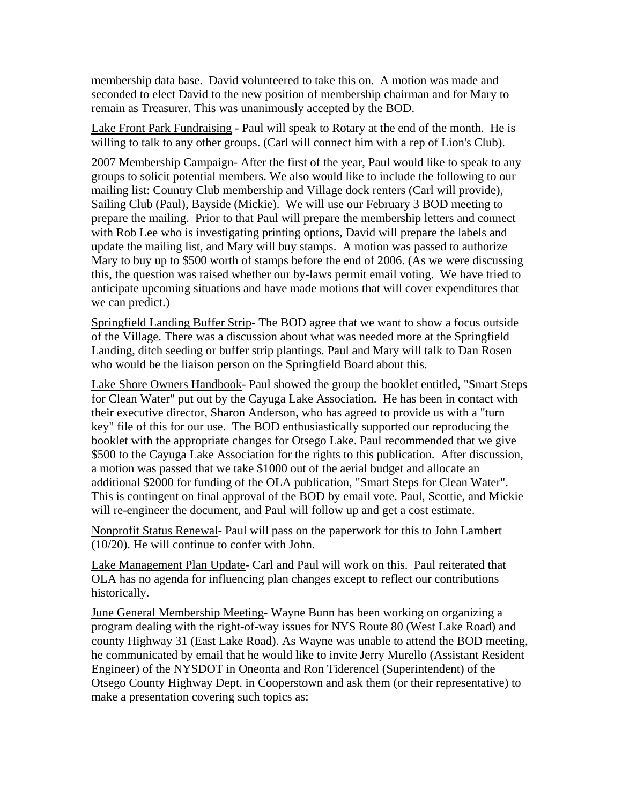membership data base. David volunteered to take this on. A motion was made and seconded to elect David to the new position of membership chairman and for Mary to remain as Treasurer. This was unanimously accepted by the BOD.

Lake Front Park Fundraising - Paul will speak to Rotary at the end of the month. He is willing to talk to any other groups. (Carl will connect him with a rep of Lion's Club).

2007 Membership Campaign- After the first of the year, Paul would like to speak to any groups to solicit potential members. We also would like to include the following to our mailing list: Country Club membership and Village dock renters (Carl will provide), Sailing Club (Paul), Bayside (Mickie). We will use our February 3 BOD meeting to prepare the mailing. Prior to that Paul will prepare the membership letters and connect with Rob Lee who is investigating printing options, David will prepare the labels and update the mailing list, and Mary will buy stamps. A motion was passed to authorize Mary to buy up to \$500 worth of stamps before the end of 2006. (As we were discussing this, the question was raised whether our by-laws permit email voting. We have tried to anticipate upcoming situations and have made motions that will cover expenditures that we can predict.)

Springfield Landing Buffer Strip- The BOD agree that we want to show a focus outside of the Village. There was a discussion about what was needed more at the Springfield Landing, ditch seeding or buffer strip plantings. Paul and Mary will talk to Dan Rosen who would be the liaison person on the Springfield Board about this.

Lake Shore Owners Handbook- Paul showed the group the booklet entitled, "Smart Steps for Clean Water" put out by the Cayuga Lake Association. He has been in contact with their executive director, Sharon Anderson, who has agreed to provide us with a "turn key" file of this for our use. The BOD enthusiastically supported our reproducing the booklet with the appropriate changes for Otsego Lake. Paul recommended that we give \$500 to the Cayuga Lake Association for the rights to this publication. After discussion, a motion was passed that we take \$1000 out of the aerial budget and allocate an additional \$2000 for funding of the OLA publication, "Smart Steps for Clean Water". This is contingent on final approval of the BOD by email vote. Paul, Scottie, and Mickie will re-engineer the document, and Paul will follow up and get a cost estimate.

Nonprofit Status Renewal- Paul will pass on the paperwork for this to John Lambert (10/20). He will continue to confer with John.

Lake Management Plan Update- Carl and Paul will work on this. Paul reiterated that OLA has no agenda for influencing plan changes except to reflect our contributions historically.

June General Membership Meeting- Wayne Bunn has been working on organizing a program dealing with the right-of-way issues for NYS Route 80 (West Lake Road) and county Highway 31 (East Lake Road). As Wayne was unable to attend the BOD meeting, he communicated by email that he would like to invite Jerry Murello (Assistant Resident Engineer) of the NYSDOT in Oneonta and Ron Tiderencel (Superintendent) of the Otsego County Highway Dept. in Cooperstown and ask them (or their representative) to make a presentation covering such topics as: